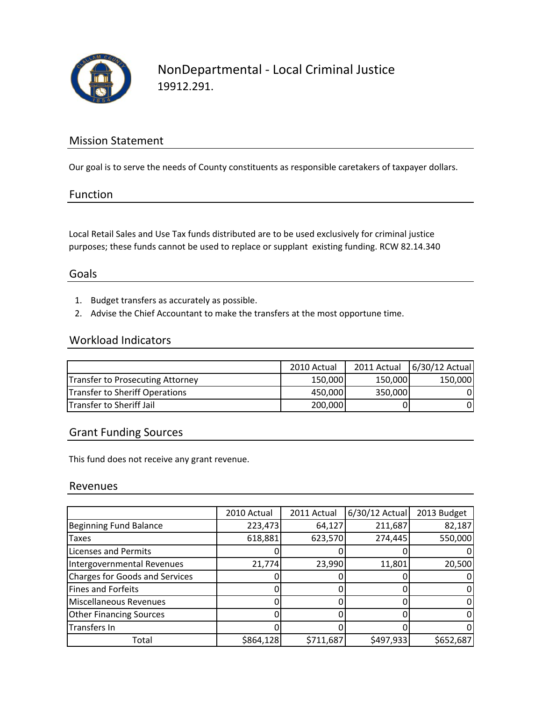

### Mission Statement

Our goal is to serve the needs of County constituents as responsible caretakers of taxpayer dollars.

#### Function

Local Retail Sales and Use Tax funds distributed are to be used exclusively for criminal justice purposes; these funds cannot be used to replace or supplant existing funding. RCW 82.14.340

#### Goals

- 1. Budget transfers as accurately as possible.
- 2. Advise the Chief Accountant to make the transfers at the most opportune time.

### Workload Indicators

|                                  | 2010 Actual | 2011 Actual | 6/30/12 Actual |
|----------------------------------|-------------|-------------|----------------|
| Transfer to Prosecuting Attorney | 150,000     | 150,000     | 150,000        |
| Transfer to Sheriff Operations   | 450,000     | 350,000     |                |
| <b>Transfer to Sheriff Jail</b>  | 200,000     |             |                |

#### Grant Funding Sources

This fund does not receive any grant revenue.

#### Revenues

|                                       | 2010 Actual | 2011 Actual | $6/30/12$ Actual | 2013 Budget |
|---------------------------------------|-------------|-------------|------------------|-------------|
| <b>Beginning Fund Balance</b>         | 223,473     | 64,127      | 211,687          | 82,187      |
| <b>Taxes</b>                          | 618,881     | 623,570     | 274,445          | 550,000     |
| <b>Licenses and Permits</b>           |             |             |                  |             |
| Intergovernmental Revenues            | 21,774      | 23,990      | 11,801           | 20,500      |
| <b>Charges for Goods and Services</b> |             |             |                  |             |
| Fines and Forfeits                    |             |             |                  |             |
| Miscellaneous Revenues                |             |             |                  |             |
| <b>Other Financing Sources</b>        |             |             |                  |             |
| Transfers In                          |             |             |                  |             |
| Total                                 | \$864,128   | \$711,687   | \$497,933        | \$652,687   |